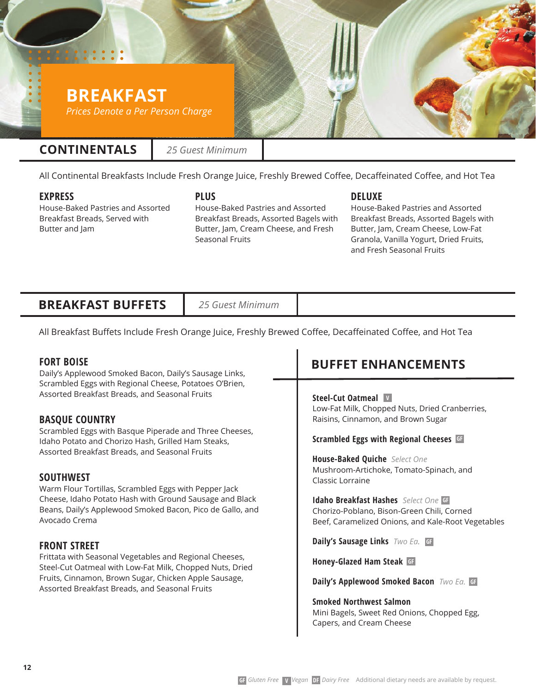# **BREAKFAST**

*Prices Denote a Per Person Charge*

### **CONTINENTALS**

*25 Guest Minimum*

All Continental Breakfasts Include Fresh Orange Juice, Freshly Brewed Coffee, Decaffeinated Coffee, and Hot Tea

### **EXPRESS**

House-Baked Pastries and Assorted Breakfast Breads, Served with Butter and Jam

**PLUS** 

House-Baked Pastries and Assorted Breakfast Breads, Assorted Bagels with Butter, Jam, Cream Cheese, and Fresh Seasonal Fruits

### **DELUXE**

House-Baked Pastries and Assorted Breakfast Breads, Assorted Bagels with Butter, Jam, Cream Cheese, Low-Fat Granola, Vanilla Yogurt, Dried Fruits, and Fresh Seasonal Fruits

### **BREAKFAST BUFFETS**

*25 Guest Minimum*

All Breakfast Buffets Include Fresh Orange Juice, Freshly Brewed Coffee, Decaffeinated Coffee, and Hot Tea

### **FORT BOISE**

Daily's Applewood Smoked Bacon, Daily's Sausage Links, Scrambled Eggs with Regional Cheese, Potatoes O'Brien, Assorted Breakfast Breads, and Seasonal Fruits

### **BASQUE COUNTRY**

Scrambled Eggs with Basque Piperade and Three Cheeses, Idaho Potato and Chorizo Hash, Grilled Ham Steaks, Assorted Breakfast Breads, and Seasonal Fruits

### **SOUTHWEST**

Warm Flour Tortillas, Scrambled Eggs with Pepper Jack Cheese, Idaho Potato Hash with Ground Sausage and Black Beans, Daily's Applewood Smoked Bacon, Pico de Gallo, and Avocado Crema

### **FRONT STREET**

Frittata with Seasonal Vegetables and Regional Cheeses, Steel-Cut Oatmeal with Low-Fat Milk, Chopped Nuts, Dried Fruits, Cinnamon, Brown Sugar, Chicken Apple Sausage, Assorted Breakfast Breads, and Seasonal Fruits

## **BUFFET ENHANCEMENTS**

#### **Steel-Cut Oatmeal V** Low-Fat Milk, Chopped Nuts, Dried Cranberries,

Raisins, Cinnamon, and Brown Sugar

#### **Scrambled Eggs with Regional Cheeses GF**

**House-Baked Quiche** *Select One* Mushroom-Artichoke, Tomato-Spinach, and Classic Lorraine

**Idaho Breakfast Hashes** *Select One* **GF** Chorizo-Poblano, Bison-Green Chili, Corned Beef, Caramelized Onions, and Kale-Root Vegetables

**Daily's Sausage Links** *Two Ea.* **GF**

**Honey-Glazed Ham Steak GF**

**Daily's Applewood Smoked Bacon** *Two Ea.* **GF**

**Smoked Northwest Salmon**  Mini Bagels, Sweet Red Onions, Chopped Egg, Capers, and Cream Cheese